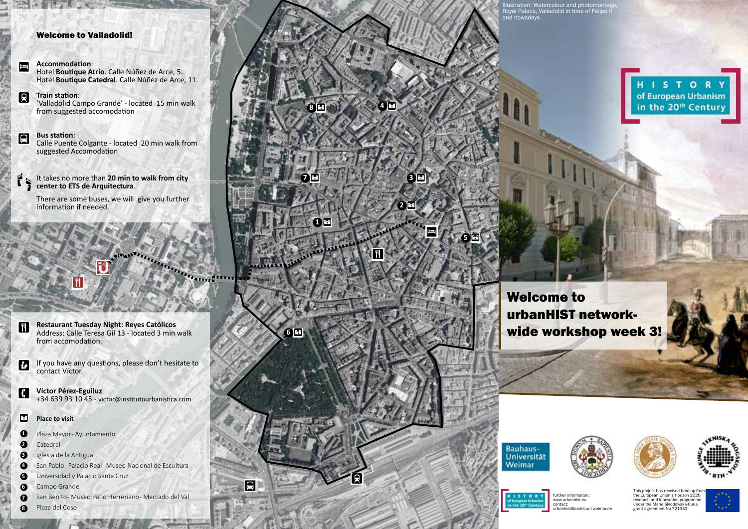# Welcome to Valladolid!

# .

**Accommodation**: Hotel **Boutique Atrio**. Calle Núñez de Arce, 5. Hotel **Boutique Catedral**. Calle Núñez de Arce, 11.

### **Train station**: g

'Valladolid Campo Grande' - located 15 min walk from suggested accomodation

## **Bus station**: a

Calle Puente Colgante - located 20 min walk from suggested Accomodation

# It takes no more than **20 min to walk from city center to ETS de Arquitectura**. ŕ,

There are some buses, we will give you further information if needed.

**Restaurant Tuesday Night: Reyes Católicos** Address: Calle Teresa Gil 13 - located 3 min walk from accomodation.

**ETSA Valladolid Valladolid city centre**

If you have any questions, please don't hesitate to contact Víctor.  $\blacksquare$ 

**Víctor Pérez-Eguiluz** +34 639 93 10 45 - victor@institutourbanistica.com G

### **Place to visit** M

Plaza Mayor-Ayuntamiento **1**

**EN** 

**NWWW3 VALLADOLID** *16th to 20th of April, 2018*

Catedral **2**

**TI** 

- Iglesia de la Antigua **3**
- San Pablo- Palacio Real- Museo Nacional de Escultura **4**

Universidad y Palacio Santa Cruz **5**

- Campo Grande **6**
- San Benito Museo Patio Herreriano Mercado del Val *1*
- Plaza del Coso **8**

# g  $\overline{\mathbf{u}}$ M M **6**  $\boldsymbol{\theta}$ 8 **a 1 b 4 4 a** M M a . **1 7 3 2**

Illustration: Watercolour and photomontage, Royal Palace, Valladolid in time of Felipe II and nowadays

# **HISTORY** of European Urbanism<br>in the 20<sup>th</sup> Century

Welcome to urbanHIST networkwide workshop week 3!



M

**5**